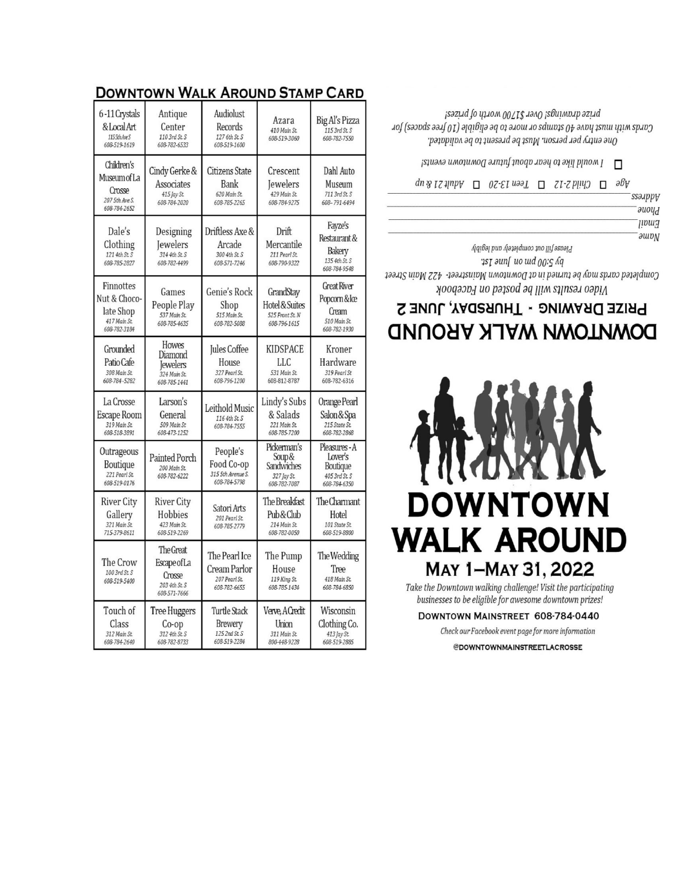| 6-11 Crystals<br>& Local Art<br>1155th Ave S<br>608-519-1619           | Antique<br>Center<br>110 3rd St. S<br>608-782-6533                  | Audiolust<br>Records<br>127 6th St. S<br>608-519-1600           | Azara<br>410 Main St.<br>608-519-3060                              | Big Al's Pizza<br>115 3rd St. S<br>608-782-7550                              |
|------------------------------------------------------------------------|---------------------------------------------------------------------|-----------------------------------------------------------------|--------------------------------------------------------------------|------------------------------------------------------------------------------|
| Children's<br>Museum of La<br>Crosse<br>207 5th Ave S.<br>608-784-2652 | Cindy Gerke &<br>Associates<br>415 Jay St.<br>608-784-2020          | Citizens State<br>Bank<br>620 Main St.<br>608-785-2265          | Crescent<br>Jewelers<br>429 Main St.<br>608-784-9275               | Dahl Auto<br>Museum<br>711 3rd St. S<br>608-791-6494                         |
| Dale's<br>Clothing<br>121 4th St. S<br>608-785-2827                    | Designing<br><b>Jewelers</b><br>314 4th St. S<br>608-782-4499       | Driftless Axe &<br>Arcade<br>300 4th St. S<br>608-571-7246      | Drift<br>Mercantile<br>211 Pearl St.<br>608-790-9322               | Fayze's<br>Restaurant &<br>Bakery<br>135 4th St. S<br>608-784-9548           |
| Finnottes<br>Nut & Choco-<br>late Shop<br>417 Main St.<br>608-782-3184 | Games<br>People Play<br>537 Main St.<br>608-785-4635                | Genie's Rock<br>Shop<br>515 Main St.<br>608-782-5088            | GrandStay<br>Hotel & Suites<br>525 Front St. N<br>608-796-1615     | <b>Great River</b><br>Popcorn & Ice<br>Cream<br>510 Main St.<br>608-782-1930 |
| Grounded<br>Patio Cafe<br>308 Main St.<br>608-784-5282                 | Howes<br>Diamond<br><b>lewelers</b><br>324 Main St.<br>608-785-1441 | Jules Coffee<br>House<br>327 Pearl St.<br>608-796-1200          | KIDSPACE<br>LLC<br>531 Main St.<br>608-812-8787                    | Kroner<br>Hardware<br>319 Pearl St<br>608-782-6316                           |
| La Crosse<br>Escape Room<br>319 Main St.<br>608-518-3891               | Larson's<br>General<br>509 Main St<br>608-473-1252                  | Leithold Music<br>116 4th St. S<br>608-784-7555                 | Lindy's Subs<br>& Salads<br>221 Main St.<br>608-785-7200           | Orange Pearl<br>Salon & Spa<br>215 State St.<br>608-782-2868                 |
| Outrageous<br>Boutique<br>221 Pearl St.<br>608-519-0176                | Painted Porch<br>200 Main St.<br>608-782-6222                       | People's<br>Food Co-op<br>315 5th Avenue S.<br>608-784-5798     | Pickerman's<br>Soup &<br>Sandwiches<br>327 Jay St.<br>608-782-7087 | Pleasures - A<br>Lover's<br>Boutique<br>405 3rd St. S<br>608-784-6350        |
| <b>River City</b><br>Gallery<br>321 Main St.<br>715-379-8611           | <b>River City</b><br>Hobbies<br>423 Main St.<br>608-519-2269        | Satori Arts<br>201 Pearl St.<br>608-785-2779                    | The Breakfast<br>Pub & Club<br>214 Main St.<br>608-782-0050        | The Charmant<br>Hotel<br>101 State St.<br>608-519-8800                       |
| The Crow<br>100 3rd St. S<br>608-519-5400                              | The Great<br>EscapeofLa<br>Crosse<br>203 4th St. S<br>608-571-7666  | The Pearl Ice<br>Cream Parlor<br>207 Pearl St.<br>608-782-6655  | The Pump<br>House<br>119 King St.<br>608-785-1434                  | The Wedding<br>Tree<br>418 Main St.<br>608-784-6850                          |
| Touch of<br>Class<br>312 Main St.<br>608-784-2640                      | Tree Huggers<br>$Co$ -op<br>312 4th St. S<br>608-782-8733           | <b>Turtle Stack</b><br>Brewery<br>125 2nd St. S<br>608-519-2284 | Verve, A Credit<br>Union<br>311 Main St.<br>800-448-9228           | Wisconsin<br>Clothing Co.<br>413 Jay St.<br>608-519-2885                     |

## **DOWNTOWN WALK AROUND STAMP CARD**

**DOWNTOWN** WALK AROUND MAY 1-MAY 31, 2022 Take the Downtown walking challenge! Visit the participating

> businesses to be eligible for awesome downtown prizes! DOWNTOWN MAINSTREET 608-784-0440 Check our Facebook event page for more information @DOWNTOWNMAINSTREETLACROSSE

# PRIZE DRAWING - THURSDAY, JUNE 2 DOWNLOWN WALK AROUND

py 5:00 pm Jun June 1st Completed cards noy be turned in at Downtown Mainstreet- 422 Main Street Yoodson and Iliw ested on Facebook

 $\Box$  I would like to hear about future Downtonnn events!  $\partial \Phi$   $\square$  Child 2-12  $\square$  Sen 13-20  $\square$  Subt 21  $\partial \Phi$ ssauppy *auoyd* **Fmail**  $\partial$  au $\partial N$ Please fill out completely and legibly

prize drawings! Over \$1700 worth of prizes! Cards with must have 40 stamps or hore to be eligible (10 free spaces) for One entry per person. Must be present to be validated.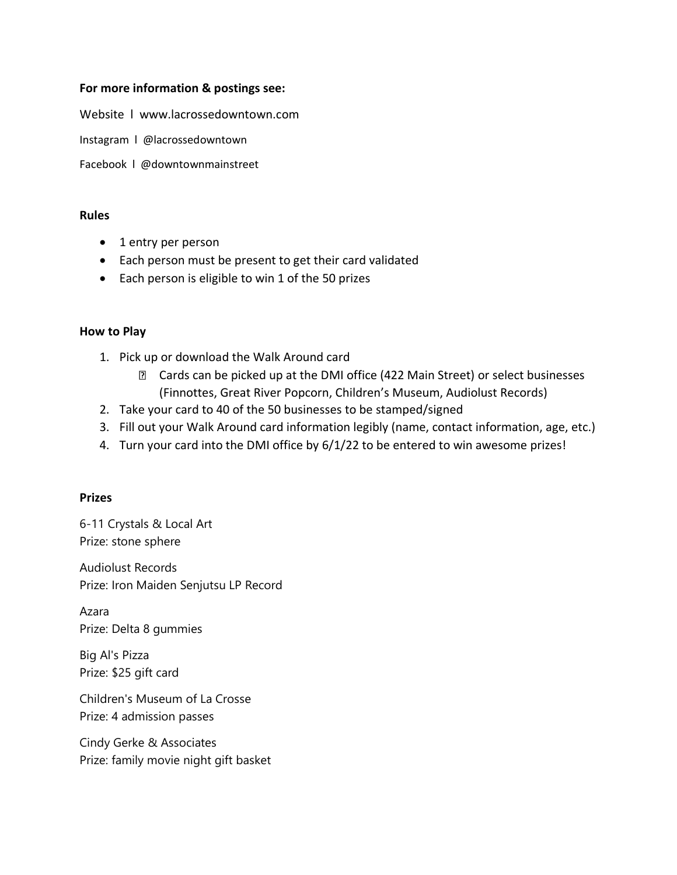### **For more information & postings see:**

Website l www.lacrossedowntown.com

Instagram l @lacrossedowntown

Facebook l @downtownmainstreet

#### **Rules**

- 1 entry per person
- Each person must be present to get their card validated
- Each person is eligible to win 1 of the 50 prizes

#### **How to Play**

- 1. Pick up or download the Walk Around card
	- Cards can be picked up at the DMI office (422 Main Street) or select businesses (Finnottes, Great River Popcorn, Children's Museum, Audiolust Records)
- 2. Take your card to 40 of the 50 businesses to be stamped/signed
- 3. Fill out your Walk Around card information legibly (name, contact information, age, etc.)
- 4. Turn your card into the DMI office by 6/1/22 to be entered to win awesome prizes!

#### **Prizes**

6-11 Crystals & Local Art Prize: stone sphere

Audiolust Records Prize: Iron Maiden Senjutsu LP Record

Azara Prize: Delta 8 gummies

Big Al's Pizza Prize: \$25 gift card

Children's Museum of La Crosse Prize: 4 admission passes

Cindy Gerke & Associates Prize: family movie night gift basket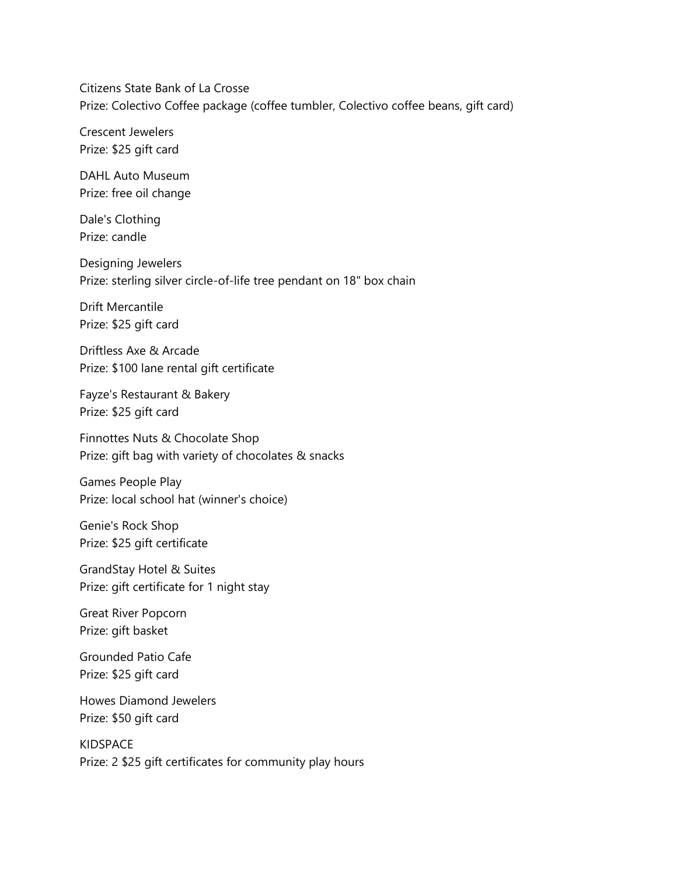Citizens State Bank of La Crosse Prize: Colectivo Coffee package (coffee tumbler, Colectivo coffee beans, gift card)

Crescent Jewelers Prize: \$25 gift card

DAHL Auto Museum Prize: free oil change

Dale's Clothing Prize: candle

Designing Jewelers Prize: sterling silver circle-of-life tree pendant on 18" box chain

Drift Mercantile Prize: \$25 gift card

Driftless Axe & Arcade Prize: \$100 lane rental gift certificate

Fayze's Restaurant & Bakery Prize: \$25 gift card

Finnottes Nuts & Chocolate Shop Prize: gift bag with variety of chocolates & snacks

Games People Play Prize: local school hat (winner's choice)

Genie's Rock Shop Prize: \$25 gift certificate

GrandStay Hotel & Suites Prize: gift certificate for 1 night stay

Great River Popcorn Prize: gift basket

Grounded Patio Cafe Prize: \$25 gift card

Howes Diamond Jewelers Prize: \$50 gift card

KIDSPACE Prize: 2 \$25 gift certificates for community play hours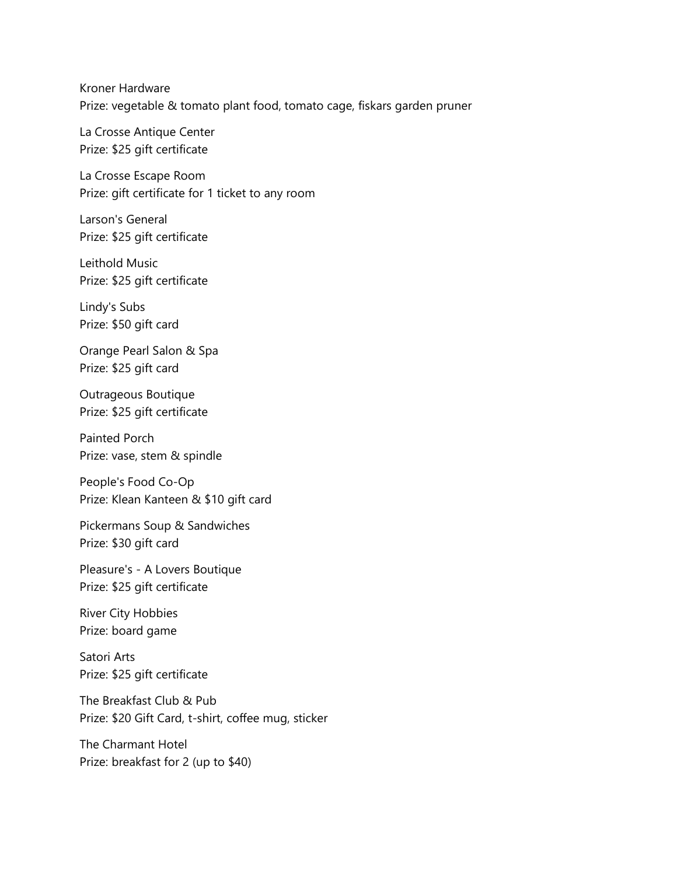Kroner Hardware Prize: vegetable & tomato plant food, tomato cage, fiskars garden pruner

La Crosse Antique Center Prize: \$25 gift certificate

La Crosse Escape Room Prize: gift certificate for 1 ticket to any room

Larson's General Prize: \$25 gift certificate

Leithold Music Prize: \$25 gift certificate

Lindy's Subs Prize: \$50 gift card

Orange Pearl Salon & Spa Prize: \$25 gift card

Outrageous Boutique Prize: \$25 gift certificate

Painted Porch Prize: vase, stem & spindle

People's Food Co-Op Prize: Klean Kanteen & \$10 gift card

Pickermans Soup & Sandwiches Prize: \$30 gift card

Pleasure's - A Lovers Boutique Prize: \$25 gift certificate

River City Hobbies Prize: board game

Satori Arts Prize: \$25 gift certificate

The Breakfast Club & Pub Prize: \$20 Gift Card, t-shirt, coffee mug, sticker

The Charmant Hotel Prize: breakfast for 2 (up to \$40)